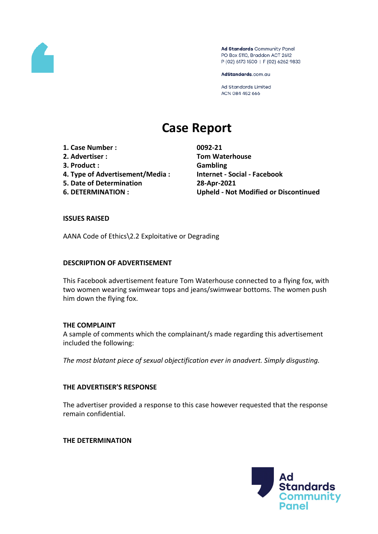

Ad Standards Community Panel PO Box 5110, Braddon ACT 2612 P (02) 6173 1500 | F (02) 6262 9833

AdStandards.com.au

Ad Standards Limited ACN 084 452 666

# **Case Report**

- **1. Case Number : 0092-21**
- 
- **3. Product : Gambling**
- **4. Type of Advertisement/Media : Internet - Social - Facebook**
- **5. Date of Determination 28-Apr-2021**
- 

**2. Advertiser : Tom Waterhouse 6. DETERMINATION : Upheld - Not Modified or Discontinued**

#### **ISSUES RAISED**

AANA Code of Ethics\2.2 Exploitative or Degrading

#### **DESCRIPTION OF ADVERTISEMENT**

This Facebook advertisement feature Tom Waterhouse connected to a flying fox, with two women wearing swimwear tops and jeans/swimwear bottoms. The women push him down the flying fox.

#### **THE COMPLAINT**

A sample of comments which the complainant/s made regarding this advertisement included the following:

*The most blatant piece of sexual objectification ever in anadvert. Simply disgusting.*

# **THE ADVERTISER'S RESPONSE**

The advertiser provided a response to this case however requested that the response remain confidential.

**THE DETERMINATION**

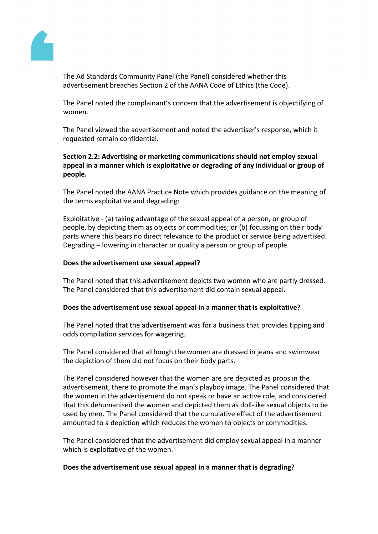

The Ad Standards Community Panel (the Panel) considered whether this advertisement breaches Section 2 of the AANA Code of Ethics (the Code).

The Panel noted the complainant's concern that the advertisement is objectifying of women.

The Panel viewed the advertisement and noted the advertiser's response, which it requested remain confidential.

# **Section 2.2: Advertising or marketing communications should not employ sexual appeal in a manner which is exploitative or degrading of any individual or group of people.**

The Panel noted the AANA Practice Note which provides guidance on the meaning of the terms exploitative and degrading:

Exploitative - (a) taking advantage of the sexual appeal of a person, or group of people, by depicting them as objects or commodities; or (b) focussing on their body parts where this bears no direct relevance to the product or service being advertised. Degrading – lowering in character or quality a person or group of people.

# **Does the advertisement use sexual appeal?**

The Panel noted that this advertisement depicts two women who are partly dressed. The Panel considered that this advertisement did contain sexual appeal.

# **Does the advertisement use sexual appeal in a manner that is exploitative?**

The Panel noted that the advertisement was for a business that provides tipping and odds compilation services for wagering.

The Panel considered that although the women are dressed in jeans and swimwear the depiction of them did not focus on their body parts.

The Panel considered however that the women are are depicted as props in the advertisement, there to promote the man's playboy image. The Panel considered that the women in the advertisement do not speak or have an active role, and considered that this dehumanised the women and depicted them as doll-like sexual objects to be used by men. The Panel considered that the cumulative effect of the advertisement amounted to a depiction which reduces the women to objects or commodities.

The Panel considered that the advertisement did employ sexual appeal in a manner which is exploitative of the women.

# **Does the advertisement use sexual appeal in a manner that is degrading?**